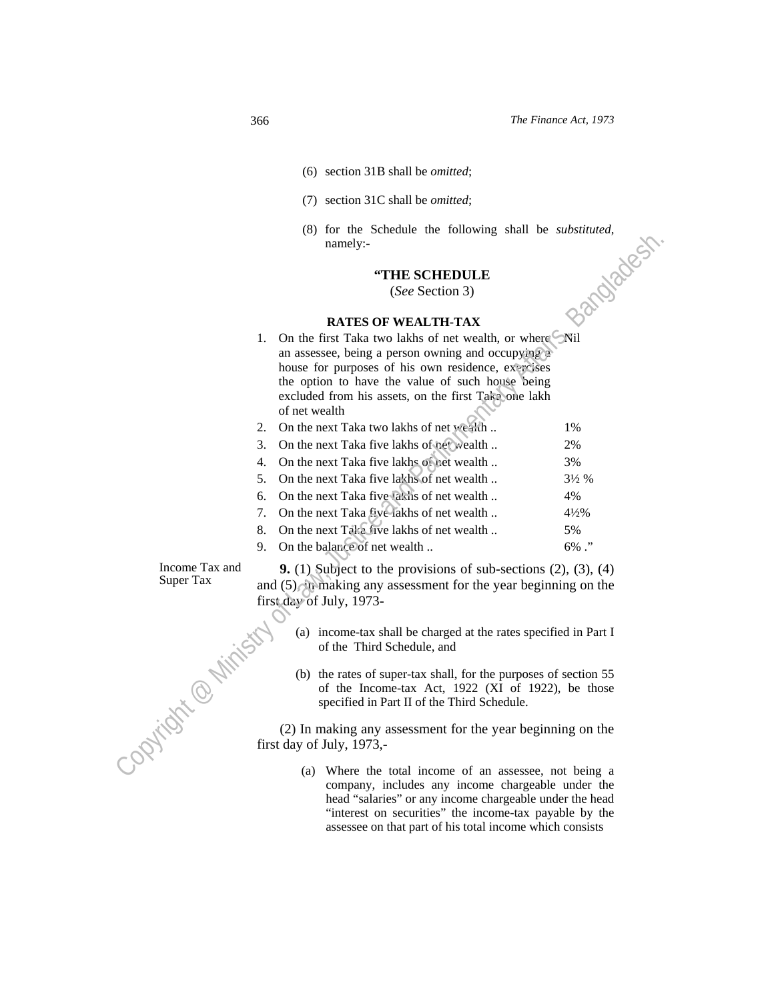- (6) section 31B shall be *omitted*;
- (7) section 31C shall be *omitted*;
- (8) for the Schedule the following shall be *substituted*,<br>namely:-<br>**"THE SCHEDULE**<br>(*See* Section 3)<br>RATES OF \*\* namely:-

## **"THE SCHEDULE**

#### **RATES OF WEALTH-TAX**

|                     | (6) To the Schedule the following shall be substituted,<br>namely:-                                      | Bandadest        |
|---------------------|----------------------------------------------------------------------------------------------------------|------------------|
|                     |                                                                                                          |                  |
|                     | "THE SCHEDULE                                                                                            |                  |
|                     | (See Section 3)                                                                                          |                  |
|                     |                                                                                                          |                  |
|                     | <b>RATES OF WEALTH-TAX</b>                                                                               |                  |
|                     | 1. On the first Taka two lakhs of net wealth, or where Nil                                               |                  |
|                     | an assessee, being a person owning and occupying a<br>house for purposes of his own residence, exercises |                  |
|                     | the option to have the value of such house being                                                         |                  |
|                     | excluded from his assets, on the first Take one lakh                                                     |                  |
|                     | of net wealth                                                                                            |                  |
|                     | On the next Taka two lakhs of net wealth<br>2.                                                           | 1%               |
|                     | On the next Taka five lakhs of net wealth<br>3.                                                          | 2%               |
|                     | On the next Taka five lakhs of net wealth<br>4.                                                          | 3%               |
|                     | On the next Taka five lakhs of net wealth<br>5.                                                          | $3\frac{1}{2}$ % |
|                     | On the next Taka five lakis of net wealth<br>6.                                                          | 4%               |
|                     | On the next Taka five-lakhs of net wealth<br>7.                                                          | $4\frac{1}{2}\%$ |
|                     | On the next Taka five lakhs of net wealth<br>8.                                                          | 5%               |
|                     | On the balance of net wealth<br>9.                                                                       | $6\%$ ."         |
| Income Tax and      | <b>9.</b> (1) Subject to the provisions of sub-sections $(2)$ , $(3)$ , $(4)$                            |                  |
| Super Tax           | and $(5)$ , it making any assessment for the year beginning on the                                       |                  |
|                     | first day of July, 1973-                                                                                 |                  |
|                     |                                                                                                          |                  |
|                     | (a) income-tax shall be charged at the rates specified in Part I                                         |                  |
|                     | of the Third Schedule, and                                                                               |                  |
|                     | (b) the rates of super-tax shall, for the purposes of section 55                                         |                  |
|                     | of the Income-tax Act, 1922 (XI of 1922), be those                                                       |                  |
|                     | specified in Part II of the Third Schedule.                                                              |                  |
|                     | (2) In making any assessment for the year beginning on the                                               |                  |
| - Opticstic entirem | first day of July, 1973,-                                                                                |                  |
|                     |                                                                                                          |                  |
|                     | (a) Where the total income of an assessee, not being a                                                   |                  |

- (a) income-tax shall be charged at the rates specified in Part I of the Third Schedule, and
- first day of July, 1973-<br>
(a) income-tax sl<br>
of the Third<br>
(b) the<br>
(b) the (b) the rates of super-tax shall, for the purposes of section 55 of the Income-tax Act, 1922 (XI of 1922), be those specified in Part II of the Third Schedule.

> (a) Where the total income of an assessee, not being a company, includes any income chargeable under the head "salaries" or any income chargeable under the head "interest on securities" the income-tax payable by the assessee on that part of his total income which consists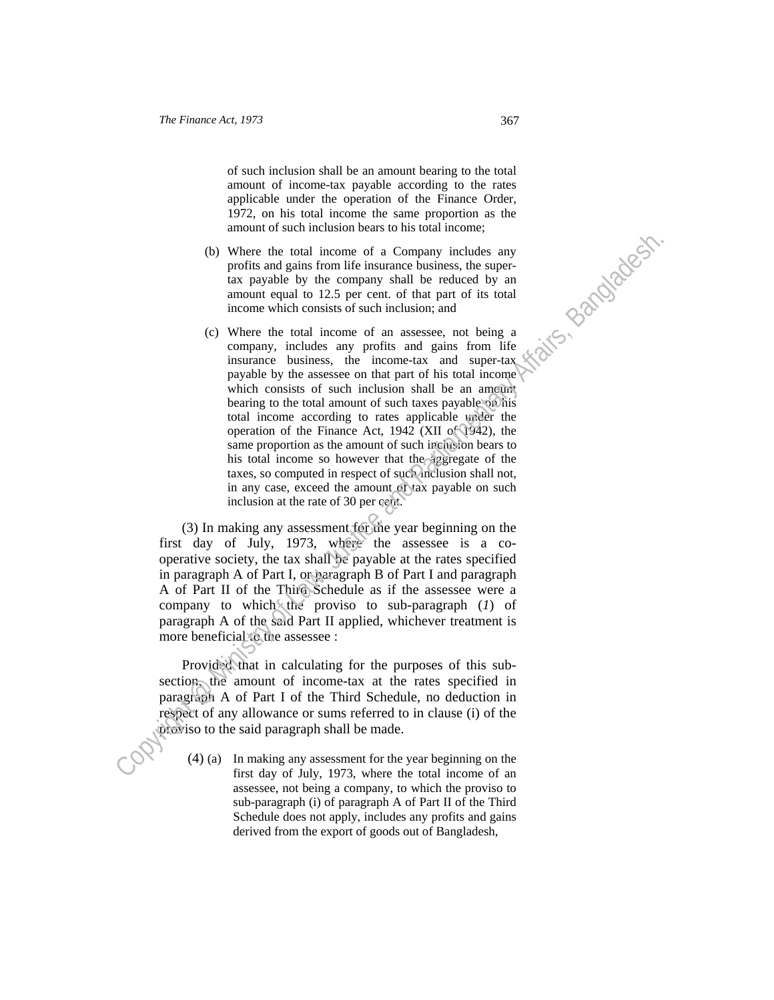of such inclusion shall be an amount bearing to the total amount of income-tax payable according to the rates applicable under the operation of the Finance Order, 1972, on his total income the same proportion as the amount of such inclusion bears to his total income;

- (b) Where the total income of a Company includes any profits and gains from life insurance business, the supertax payable by the company shall be reduced by an amount equal to 12.5 per cent. of that part of its total income which consists of such inclusion; and
- (c) Where the total income of an assessee, not being a company, includes any profits and gains from life insurance business, the income-tax and super-tax payable by the assessee on that part of his total income which consists of such inclusion shall be an amount bearing to the total amount of such taxes payable on his total income according to rates applicable under the operation of the Finance Act, 1942 (XII of 1942), the same proportion as the amount of such inclusion bears to his total income so however that the aggregate of the taxes, so computed in respect of such inclusion shall not, in any case, exceed the amount of tax payable on such inclusion at the rate of 30 per cent. Constrained a statement of Law means of Law means of Law means of Law (and particle and particle and particle in the state of the state of the state of the state of the state of the state of the state of the state of the

 (3) In making any assessment for the year beginning on the first day of July, 1973, where the assessee is a cooperative society, the tax shall be payable at the rates specified in paragraph A of Part I, or paragraph B of Part I and paragraph A of Part II of the Third Schedule as if the assessee were a company to which the proviso to sub-paragraph (*1*) of paragraph A of the said Part II applied, whichever treatment is more beneficial to the assessee :

 Provided that in calculating for the purposes of this subsection, the amount of income-tax at the rates specified in paragraph A of Part I of the Third Schedule, no deduction in respect of any allowance or sums referred to in clause (i) of the proviso to the said paragraph shall be made.

(4) (a) In making any assessment for the year beginning on the first day of July, 1973, where the total income of an assessee, not being a company, to which the proviso to sub-paragraph (i) of paragraph A of Part II of the Third Schedule does not apply, includes any profits and gains derived from the export of goods out of Bangladesh,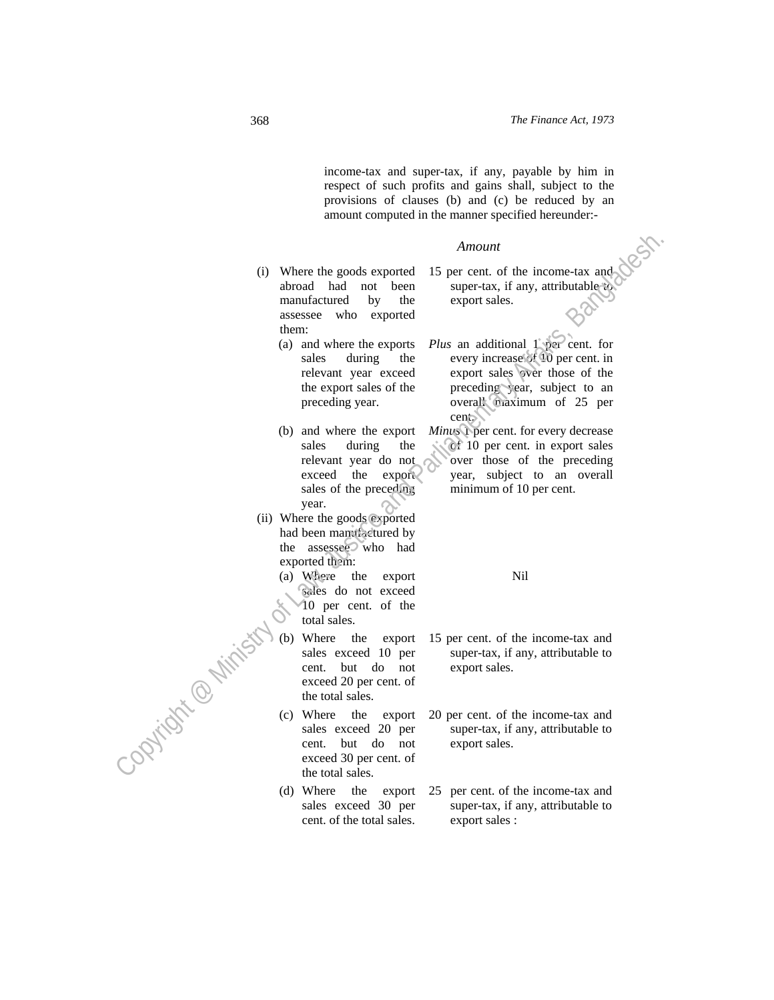income-tax and super-tax, if any, payable by him in respect of such profits and gains shall, subject to the provisions of clauses (b) and (c) be reduced by an amount computed in the manner specified hereunder:-

#### *Amount*

- (i) Where the goods exported abroad had not been manufactured by the assessee who exported them:
	- (a) and where the exports sales during the relevant year exceed the export sales of the preceding year.

(b) and where the export sales during the relevant year do not exceed the export sales of the preceding year.

- (ii) Where the goods exported had been manufactured by the assessee who had exported them:
	- (a) Where the export sales do not exceed 10 per cent. of the total sales.

(b) Where the export sales exceed 10 per cent. but do not exceed 20 per cent. of the total sales.

(c) Where the export sales exceed 20 per cent. but do not exceed 30 per cent. of the total sales.

(d) Where the export sales exceed 30 per cent. of the total sales.

15 per cent. of the income-tax and super-tax, if any, attributable to export sales.

*Plus* an additional 1 per cent. for every increase of 10 per cent. in export sales over those of the preceding year, subject to an overall maximum of 25 per cent. Amount<br>
(i) Where the goods exported 15 per cent, of the income tax and<br>
another and one been such a super-tax, if any, attributed<br>
therm, the computer of the computer of the smaller of the substitution<br>
therm of the scho

*Minus* 1 per cent. for every decrease of 10 per cent. in export sales over those of the preceding year, subject to an overall minimum of 10 per cent.

Nil

- 15 per cent. of the income-tax and super-tax, if any, attributable to export sales.
- 20 per cent. of the income-tax and super-tax, if any, attributable to export sales.
- 25 per cent. of the income-tax and super-tax, if any, attributable to export sales :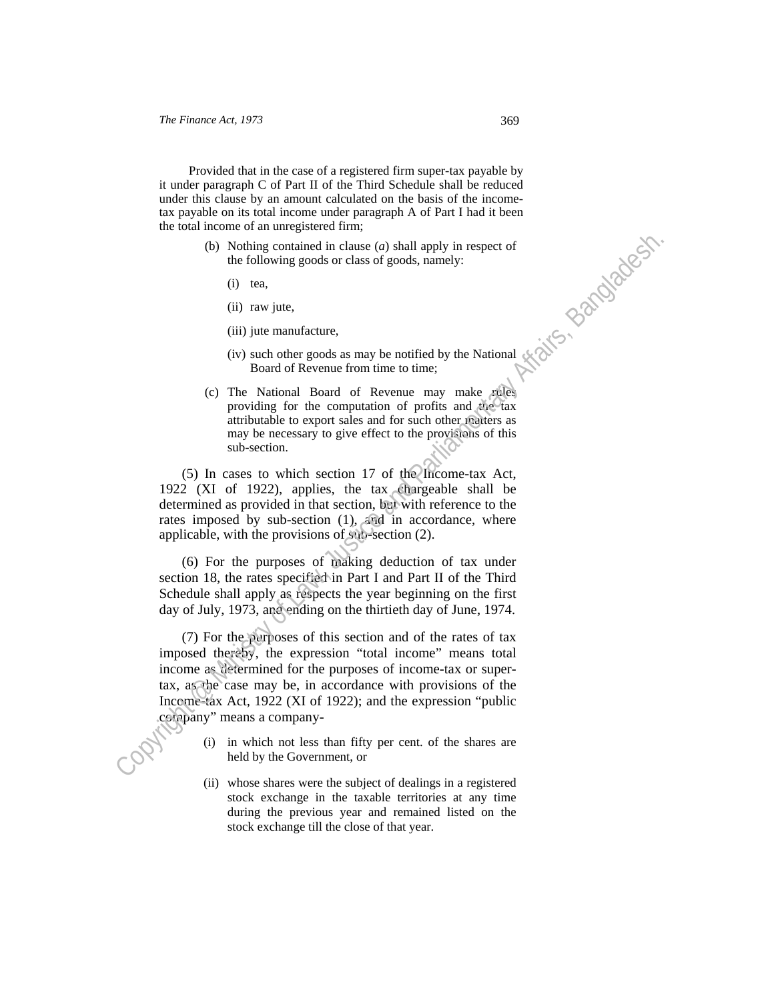Provided that in the case of a registered firm super-tax payable by it under paragraph C of Part II of the Third Schedule shall be reduced under this clause by an amount calculated on the basis of the incometax payable on its total income under paragraph A of Part I had it been<br>the total income of an unregistered firm;<br>(b) Nothing contained in clause (a) shall apply in respect of<br>the following goods or class of goods, namely the total income of an unregistered firm;

- (b) Nothing contained in clause (*a*) shall apply in respect of the following goods or class of goods, namely:
	- (i) tea,
	- (ii) raw jute,
	- (iii) jute manufacture,
	- (iv) such other goods as may be notified by the National Board of Revenue from time to time;
- (c) The National Board of Revenue may make rules providing for the computation of profits and the tax attributable to export sales and for such other matters as may be necessary to give effect to the provisions of this sub-section.

 (5) In cases to which section 17 of the Income-tax Act, 1922 (XI of 1922), applies, the tax chargeable shall be determined as provided in that section, but with reference to the rates imposed by sub-section (1), and in accordance, where applicable, with the provisions of sub-section (2).

 (6) For the purposes of making deduction of tax under section 18, the rates specified in Part I and Part II of the Third Schedule shall apply as respects the year beginning on the first day of July, 1973, and ending on the thirtieth day of June, 1974.

 (7) For the purposes of this section and of the rates of tax imposed thereby, the expression "total income" means total income as determined for the purposes of income-tax or supertax, as the case may be, in accordance with provisions of the Income-tax Act, 1922 (XI of 1922); and the expression "public company" means a company-(b) Nothing contained in chase (a) shall apply in respect of<br>the following goods or class of goods, namely:<br>(i) tea,<br>(ii) is an wide,<br>(iii) just manufacture,<br>(iv) such other goods as any be notified by the National<br>(iii)

- (i) in which not less than fifty per cent. of the shares are held by the Government, or
- (ii) whose shares were the subject of dealings in a registered stock exchange in the taxable territories at any time during the previous year and remained listed on the stock exchange till the close of that year.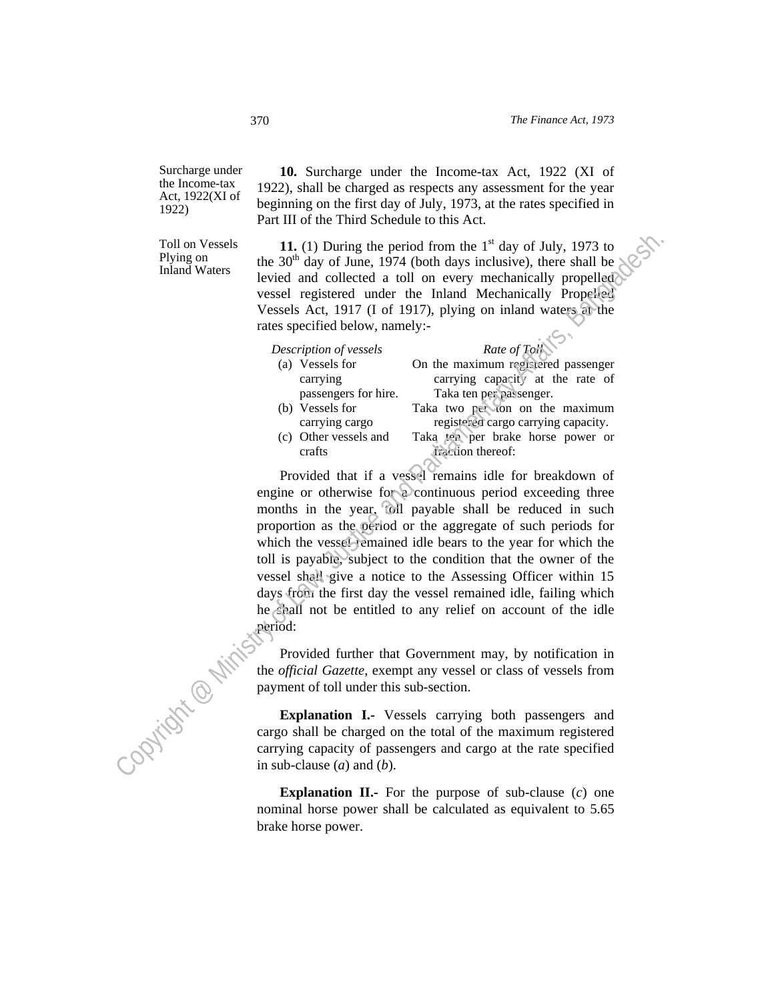Surcharge under the Income-tax Act, 1922(XI of 1922)

Toll on Vessels Plying on Inland Waters

 **10.** Surcharge under the Income-tax Act, 1922 (XI of 1922), shall be charged as respects any assessment for the year beginning on the first day of July, 1973, at the rates specified in Part III of the Third Schedule to this Act.

11. (1) During the period from the  $1<sup>st</sup>$  day of July, 1973 to the  $30<sup>th</sup>$  day of June, 1974 (both days inclusive), there shall be levied and collected a toll on every mechanically propelled vessel registered under the Inland Mechanically Propelled Vessels Act, 1917 (I of 1917), plying on inland waters at the rates specified below, namely:-

| Description of vessels | Rate of Toll                        |
|------------------------|-------------------------------------|
| (a) Vessels for        | On the maximum registered passenger |
| carrying               | carrying capacity at the rate of    |
| passengers for hire.   | Taka ten per passenger.             |
| (b) Vessels for        | Taka two per ton on the maximum     |
| carrying cargo         | registered cargo carrying capacity. |
| (c) Other vessels and  | Taka ten per brake horse power or   |
| crafts                 | iraction thereof:                   |
|                        |                                     |

 Provided that if a vessel remains idle for breakdown of engine or otherwise for a continuous period exceeding three months in the year, toll payable shall be reduced in such proportion as the period or the aggregate of such periods for which the vessel remained idle bears to the year for which the toll is payable, subject to the condition that the owner of the vessel shall give a notice to the Assessing Officer within 15 days from the first day the vessel remained idle, failing which he shall not be entitled to any relief on account of the idle period: Tall on Vessels<br>
Hying and period from the 1<sup>st</sup> day of July, 1973 to<br>
Piying on<br>
the 30<sup>st</sup> day of June 1974 (both days inclusive), there shall be<br>
beind and collected a toll on every mechanically propelled<br>
vessels regi

the *official Gazette*, exempt any vessel or class of vessels from payment of toll under this sub-section.

Provided further that Government may, by notification in<br>the *official Gazette*, exempt any vessel or class of vessels from<br>payment of toll under this sub-section.<br>**Explanation I.** Vessels **Explanation I.-** Vessels carrying both passengers and cargo shall be charged on the total of the maximum registered carrying capacity of passengers and cargo at the rate specified in sub-clause (*a*) and (*b*).

**Explanation II.-** For the purpose of sub-clause (*c*) one nominal horse power shall be calculated as equivalent to 5.65 brake horse power.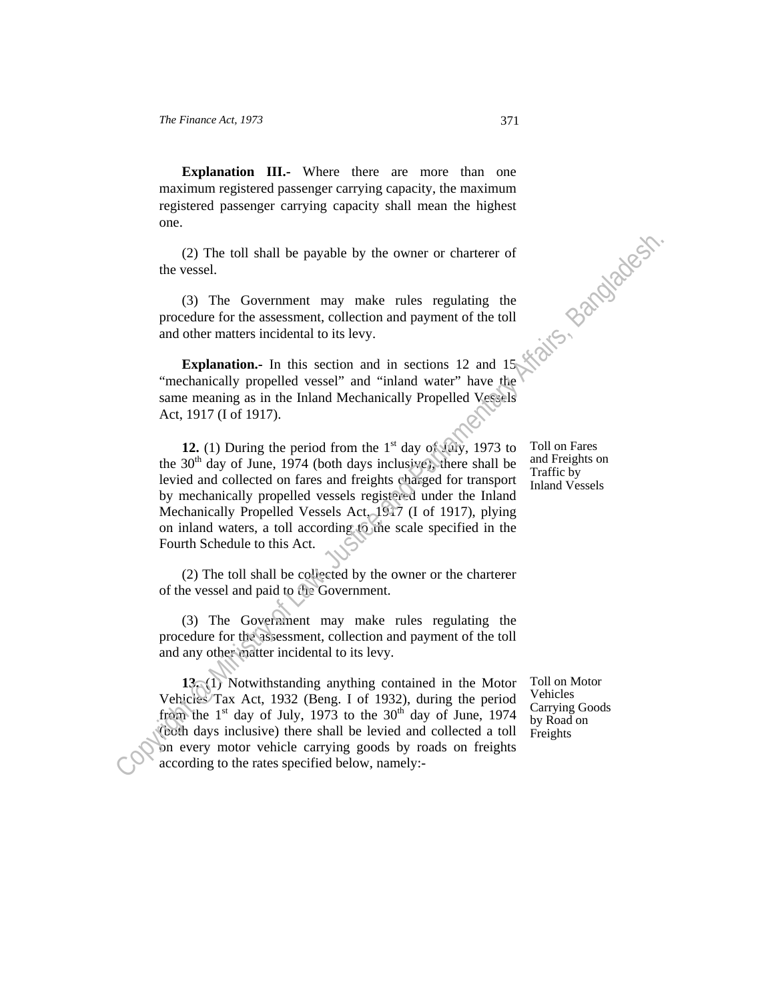**Explanation III.-** Where there are more than one maximum registered passenger carrying capacity, the maximum one.

 (2) The toll shall be payable by the owner or charterer of the vessel.

registered passenger carrying capacity shall mean the highest<br>one.<br>(2) The toll shall be payable by the owner or charterer of<br>the vessel.<br>(3) The Government may make rules regulating <sup>+1</sup>-<br>procedure for the assessment, col (3) The Government may make rules regulating the procedure for the assessment, collection and payment of the toll and other matters incidental to its levy.

**Explanation.**- In this section and in sections 12 and 15 "mechanically propelled vessel" and "inland water" have the same meaning as in the Inland Mechanically Propelled Vessels Act, 1917 (I of 1917).

**12.** (1) During the period from the  $1<sup>st</sup>$  day of July, 1973 to the  $30<sup>th</sup>$  day of June, 1974 (both days inclusive), there shall be levied and collected on fares and freights charged for transport by mechanically propelled vessels registered under the Inland Mechanically Propelled Vessels Act, 1917 (I of 1917), plying on inland waters, a toll according to the scale specified in the Fourth Schedule to this Act. (2) The toll shall be payable by the owner or charterer of<br>the vessel.<br>
(3) The Government may make rules regulating the<br>
procedure for the sassement, collection and payment of the toll<br>
and other matters incidental to it

 (2) The toll shall be collected by the owner or the charterer of the vessel and paid to the Government.

 (3) The Government may make rules regulating the procedure for the assessment, collection and payment of the toll and any other matter incidental to its levy.

 **13.** (1) Notwithstanding anything contained in the Motor Vehicles Tax Act, 1932 (Beng. I of 1932), during the period from the  $1<sup>st</sup>$  day of July, 1973 to the 30<sup>th</sup> day of June, 1974 (both days inclusive) there shall be levied and collected a toll on every motor vehicle carrying goods by roads on freights according to the rates specified below, namely:-

Toll on Fares and Freights on Traffic by Inland Vessels

Toll on Motor Vehicles Carrying Goods by Road on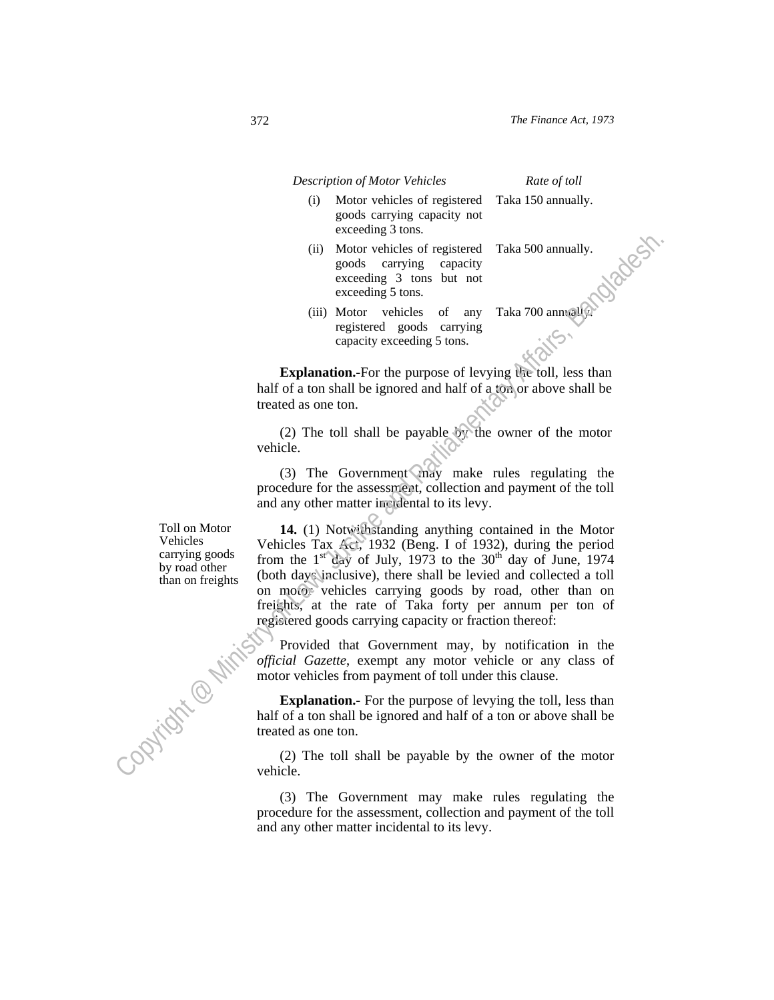*Description of Motor Vehicles Rate of toll* 

(i) Motor vehicles of registered goods carrying capacity not exceeding 3 tons.

Taka 150 annually.

- (ii) Motor vehicles of registered goods carrying capacity exceeding 3 tons but not exceeding 5 tons. Taka 500 annually.
- (iii) Motor vehicles of any registered goods carrying capacity exceeding 5 tons. Taka 700 annually.

**Explanation.-**For the purpose of levying the toll, less than half of a ton shall be ignored and half of a ton or above shall be treated as one ton.

 (2) The toll shall be payable by the owner of the motor vehicle.

(3) The Government  $\sqrt{mgy}$  make rules regulating the procedure for the assessment, collection and payment of the toll and any other matter incidental to its levy.

Toll on Motor Vehicles carrying goods by road other than on freights

 **14.** (1) Notwithstanding anything contained in the Motor Vehicles Tax Act, 1932 (Beng. I of 1932), during the period from the  $1<sup>st</sup>$  day of July, 1973 to the 30<sup>th</sup> day of June, 1974 (both days inclusive), there shall be levied and collected a toll on motor vehicles carrying goods by road, other than on freights, at the rate of Taka forty per annum per ton of registered goods carrying capacity or fraction thereof: Content of the content of the specific set of Almostonia and the particle of a total matrix of a total matrix of a total matrix of Almostonia and Parliamentary Affairs and Parliamentary Affairs and Parliamentary Affairs a

 Provided that Government may, by notification in the *official Gazette*, exempt any motor vehicle or any class of motor vehicles from payment of toll under this clause.

**Explanation.-** For the purpose of levying the toll, less than half of a ton shall be ignored and half of a ton or above shall be treated as one ton.

 (2) The toll shall be payable by the owner of the motor vehicle.

 (3) The Government may make rules regulating the procedure for the assessment, collection and payment of the toll and any other matter incidental to its levy.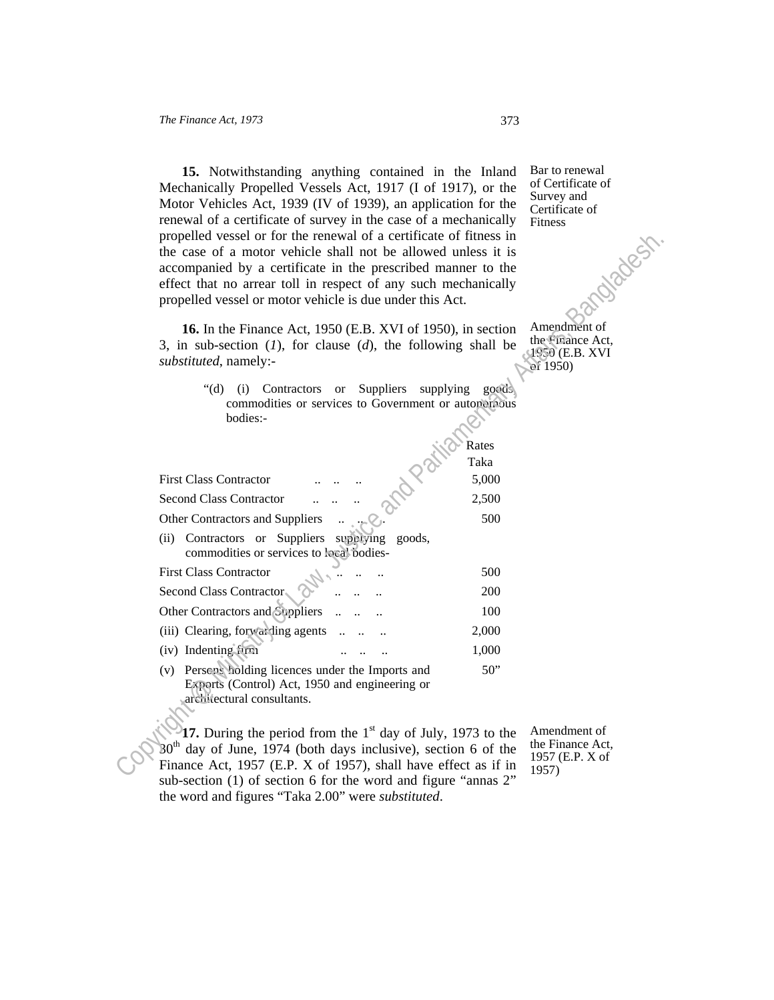**15.** Notwithstanding anything contained in the Inland Mechanically Propelled Vessels Act, 1917 (I of 1917), or the Motor Vehicles Act, 1939 (IV of 1939), an application for the renewal of a certificate of survey in the case of a mechanically propelled vessel or for the renewal of a certificate of fitness in the case of a motor vehicle shall not be allowed unless it is accompanied by a certificate in the prescribed manner to the effect that no arrear toll in respect of any such mechanically propelled vessel or motor vehicle is due under this Act.

Bar to renewal of Certificate of Survey and Certificate of Fitness

| propelled vessel or for the renewal of a certificate of fitness in                                                                        |                                     |
|-------------------------------------------------------------------------------------------------------------------------------------------|-------------------------------------|
| the case of a motor vehicle shall not be allowed unless it is                                                                             |                                     |
| accompanied by a certificate in the prescribed manner to the                                                                              | dratest                             |
| effect that no arrear toll in respect of any such mechanically                                                                            |                                     |
| propelled vessel or motor vehicle is due under this Act.                                                                                  |                                     |
|                                                                                                                                           |                                     |
| 16. In the Finance Act, 1950 (E.B. XVI of 1950), in section                                                                               | Amendment of<br>the Finance Act,    |
| 3, in sub-section $(1)$ , for clause $(d)$ , the following shall be                                                                       | $4950$ (E.B. XVI                    |
| substituted, namely:-                                                                                                                     | of 1950)                            |
| " $(d)$ "<br>Suppliers<br>Contractors<br>supplying<br>goods.<br>(i)<br><b>or</b>                                                          |                                     |
| commodities or services to Government or autonomous                                                                                       |                                     |
| bodies:-                                                                                                                                  |                                     |
| Rates                                                                                                                                     |                                     |
| Taka                                                                                                                                      |                                     |
| <b>First Class Contractor</b><br>5,000                                                                                                    |                                     |
| 2,500                                                                                                                                     |                                     |
| <b>Second Class Contractor</b>                                                                                                            |                                     |
| 500<br>Other Contractors and Suppliers                                                                                                    |                                     |
| (ii) Contractors or Suppliers<br>supplying<br>goods,<br>commodities or services to local bodies-                                          |                                     |
| <b>First Class Contractor</b><br>500                                                                                                      |                                     |
| Second Class Contractor<br>200                                                                                                            |                                     |
| Other Contractors and Suppliers<br>100                                                                                                    |                                     |
| (iii) Clearing, forwarding agents<br>2,000                                                                                                |                                     |
| (iv) Indenting firm<br>1,000                                                                                                              |                                     |
| (v) Persons holding licences under the Imports and<br>50"<br>Exports (Control) Act, 1950 and engineering or<br>architectural consultants. |                                     |
| 17. During the period from the $1st$ day of July, 1973 to the                                                                             | Amendment of                        |
| day of June, 1974 (both days inclusive), section 6 of the                                                                                 | the Finance Act,<br>1957 (E.P. X of |
| Finance Act, 1957 (E.P. X of 1957), shall have effect as if in                                                                            | 1957)                               |

17. During the period from the 1<sup>st</sup> day of July, 1973 to the  $30<sup>th</sup>$  day of June, 1974 (both days inclusive), section 6 of the Finance Act, 1957 (E.P. X of 1957), shall have effect as if in sub-section (1) of section 6 for the word and figure "annas 2" the word and figures "Taka 2.00" were *substituted*.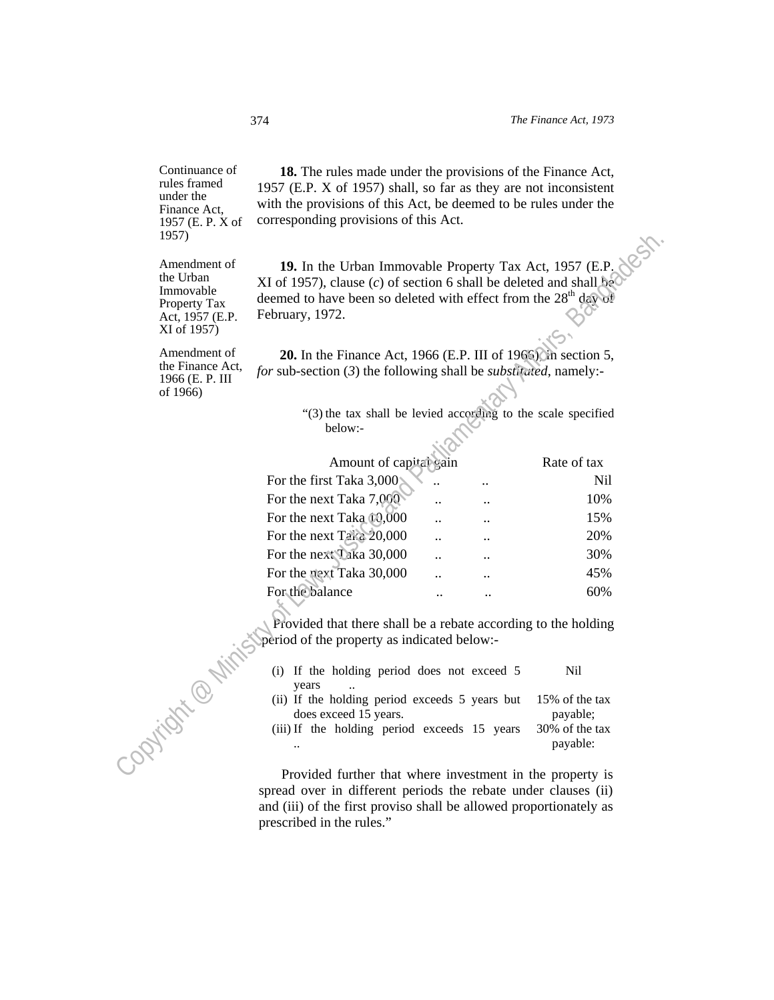Continuance of rules framed under the Finance Act, 1957 (E. P. X of 1957)

 **18.** The rules made under the provisions of the Finance Act, 1957 (E.P. X of 1957) shall, so far as they are not inconsistent with the provisions of this Act, be deemed to be rules under the corresponding provisions of this Act.

| 1957)                                                                                    |                                                                                                                                                                                                                                 |                      |  |                            |  |
|------------------------------------------------------------------------------------------|---------------------------------------------------------------------------------------------------------------------------------------------------------------------------------------------------------------------------------|----------------------|--|----------------------------|--|
| Amendment of<br>the Urban<br>Immovable<br>Property Tax<br>Act, 1957 (E.P.<br>XI of 1957) | 19. In the Urban Immovable Property Tax Act, 1957 (E.P.<br>XI of 1957), clause (c) of section 6 shall be deleted and shall be<br>deemed to have been so deleted with effect from the 28 <sup>th</sup> day of<br>February, 1972. |                      |  |                            |  |
| Amendment of<br>the Finance Act,<br>1966 (E. P. III<br>of 1966)                          | <b>20.</b> In the Finance Act, 1966 (E.P. III of 1965) in section 5,<br>for sub-section (3) the following shall be <i>substituted</i> , namely:-                                                                                |                      |  |                            |  |
|                                                                                          | "(3) the tax shall be levied according to the scale specified                                                                                                                                                                   |                      |  |                            |  |
|                                                                                          | below:-                                                                                                                                                                                                                         |                      |  |                            |  |
|                                                                                          |                                                                                                                                                                                                                                 |                      |  |                            |  |
|                                                                                          | Amount of capital gain                                                                                                                                                                                                          |                      |  | Rate of tax                |  |
|                                                                                          | For the first Taka 3,000                                                                                                                                                                                                        |                      |  | <b>Nil</b>                 |  |
|                                                                                          | For the next Taka 7,000                                                                                                                                                                                                         |                      |  | 10%                        |  |
|                                                                                          | For the next Taka 00,000                                                                                                                                                                                                        |                      |  | 15%                        |  |
|                                                                                          | For the next Taka 20,000                                                                                                                                                                                                        |                      |  | 20%                        |  |
|                                                                                          | For the next Taka 30,000                                                                                                                                                                                                        |                      |  | 30%                        |  |
|                                                                                          | For the next Taka 30,000                                                                                                                                                                                                        |                      |  | 45%                        |  |
|                                                                                          | For the balance                                                                                                                                                                                                                 | $\ddot{\phantom{a}}$ |  | 60%                        |  |
|                                                                                          | Provided that there shall be a rebate according to the holding<br>period of the property as indicated below:-                                                                                                                   |                      |  |                            |  |
|                                                                                          | (i) If the holding period does not exceed 5<br>years                                                                                                                                                                            |                      |  | <b>Nil</b>                 |  |
| OPVIIGHT®N                                                                               | (ii) If the holding period exceeds 5 years but<br>does exceed 15 years.                                                                                                                                                         |                      |  | 15% of the tax<br>payable; |  |
|                                                                                          | (iii) If the holding period exceeds 15 years                                                                                                                                                                                    |                      |  | 30% of the tax<br>payable: |  |
|                                                                                          |                                                                                                                                                                                                                                 |                      |  |                            |  |
|                                                                                          | Provided further that where investment in the property is                                                                                                                                                                       |                      |  |                            |  |

- (i) If the holding period does not exceed 5 years Nil
- (ii) If the holding period exceeds 5 years but does exceed 15 years. 15% of the tax payable;
- (iii) If the holding period exceeds 15 years .. 30% of the tax payable:

 Provided further that where investment in the property is spread over in different periods the rebate under clauses (ii) and (iii) of the first proviso shall be allowed proportionately as prescribed in the rules."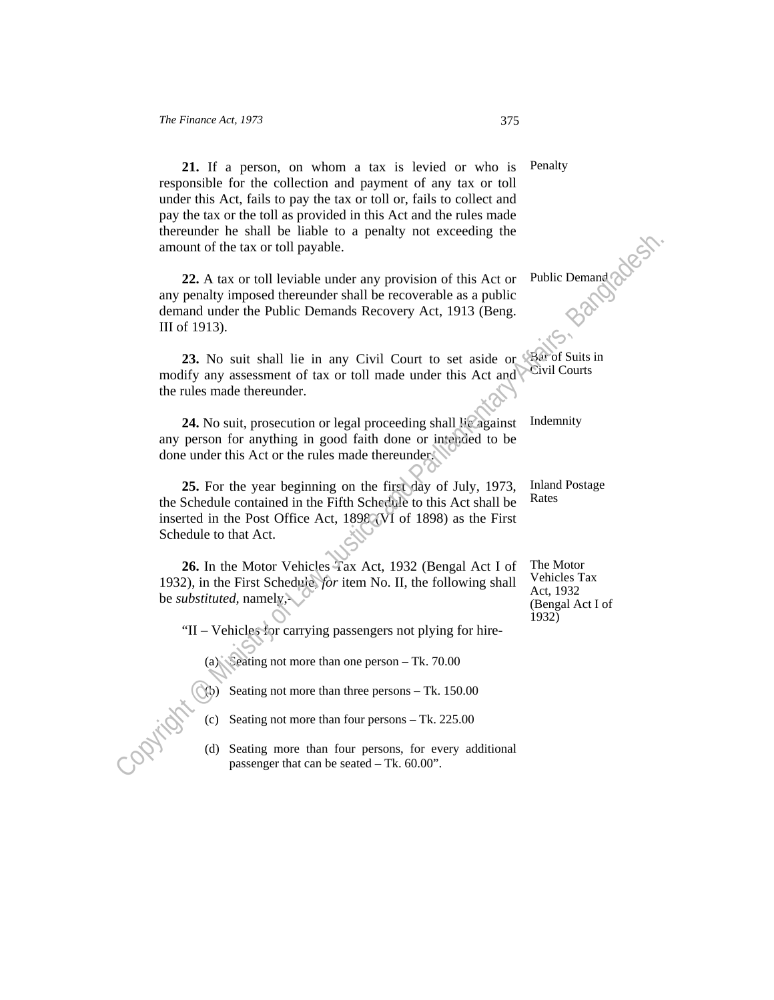**21.** If a person, on whom a tax is levied or who is responsible for the collection and payment of any tax or toll under this Act, fails to pay the tax or toll or, fails to collect and pay the tax or the toll as provided in this Act and the rules made thereunder he shall be liable to a penalty not exceeding the amount of the tax or toll payable. Penalty

 **22.** A tax or toll leviable under any provision of this Act or any penalty imposed thereunder shall be recoverable as a public demand under the Public Demands Recovery Act, 1913 (Beng. III of 1913). particular experiment is a can be seated of the seated of the seated may provide the seated of the Public Demand and present defined a may check that a public demand under the Public Demands Recovery Act, 1913 (Beng. III

23. No suit shall lie in any Civil Court to set aside or **Bar** of Suits in modify any assessment of tax or toll made under this Act and the rules made thereunder.

 **24.** No suit, prosecution or legal proceeding shall lie against any person for anything in good faith done or intended to be done under this Act or the rules made thereunder.

 **25.** For the year beginning on the first day of July, 1973, the Schedule contained in the Fifth Schedule to this Act shall be inserted in the Post Office Act, 1898 (VI of 1898) as the First Schedule to that Act.

 **26.** In the Motor Vehicles Tax Act, 1932 (Bengal Act I of 1932), in the First Schedule, *for* item No. II, the following shall be *substituted,* namely,-

"II – Vehicles for carrying passengers not plying for hire-

(a) Seating not more than one person – Tk. 70.00

 $(Q<sub>b</sub>)$  Seating not more than three persons – Tk. 150.00

- (c) Seating not more than four persons Tk. 225.00
- (d) Seating more than four persons, for every additional

Public Demand

Civil Courts

Indemnity

Inland Postage Rates

The Motor Vehicles Tax Act, 1932 (Bengal Act I of 1932)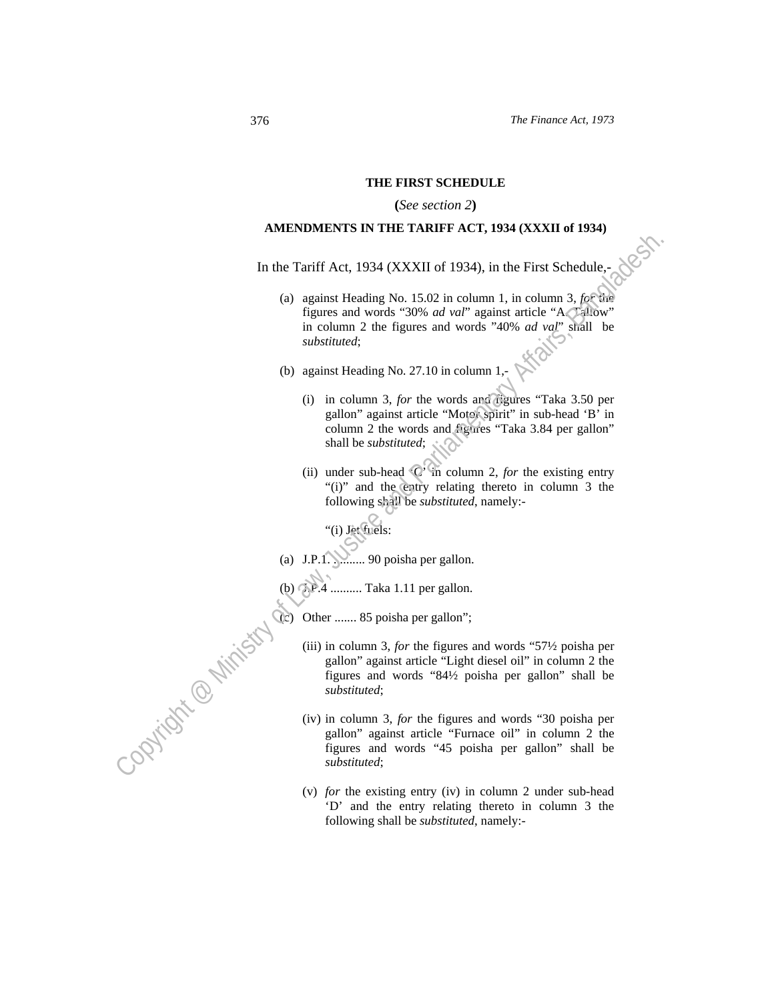#### **THE FIRST SCHEDULE**

#### **(***See section 2***)**

## **AMENDMENTS IN THE TARIFF ACT, 1934 (XXXII of 1934)**

In the Tariff Act, 1934 (XXXII of 1934), in the First Schedule,-

- (a) against Heading No. 15.02 in column 1, in column 3, *for* the figures and words "30% *ad val*" against article "A. Tallow" in column 2 the figures and words "40% *ad val*" shall be *substituted*; Contracts Even the Fact of Law Minister and Contracts Section (a)<br>
(a) against Heading No. 15.024 no others and words  $\frac{1}{2}$ <br>
(b) against Heading No. 27.10 in column 1, the column 1, the column 2 the figures and words
	- (b) against Heading No. 27.10 in column 1,-
		- (i) in column 3, *for* the words and figures "Taka 3.50 per gallon" against article "Motor spirit" in sub-head 'B' in column 2 the words and figures "Taka 3.84 per gallon" shall be *substituted*;
		- (ii) under sub-head 'C' in column 2, *for* the existing entry "(i)" and the entry relating thereto in column 3 the following shall be *substituted*, namely:-

"(i) Jet fuels:

- (a) J.P.1.  $\ldots$  90 poisha per gallon.
- (b) J.P.4 .......... Taka 1.11 per gallon.
	- Other ....... 85 poisha per gallon";
		- (iii) in column 3, *for* the figures and words "57½ poisha per gallon" against article "Light diesel oil" in column 2 the figures and words "84½ poisha per gallon" shall be *substituted*;
		- (iv) in column 3, *for* the figures and words "30 poisha per gallon" against article "Furnace oil" in column 2 the figures and words "45 poisha per gallon" shall be *substituted*;
		- (v) *for* the existing entry (iv) in column 2 under sub-head 'D' and the entry relating thereto in column 3 the following shall be *substituted*, namely:-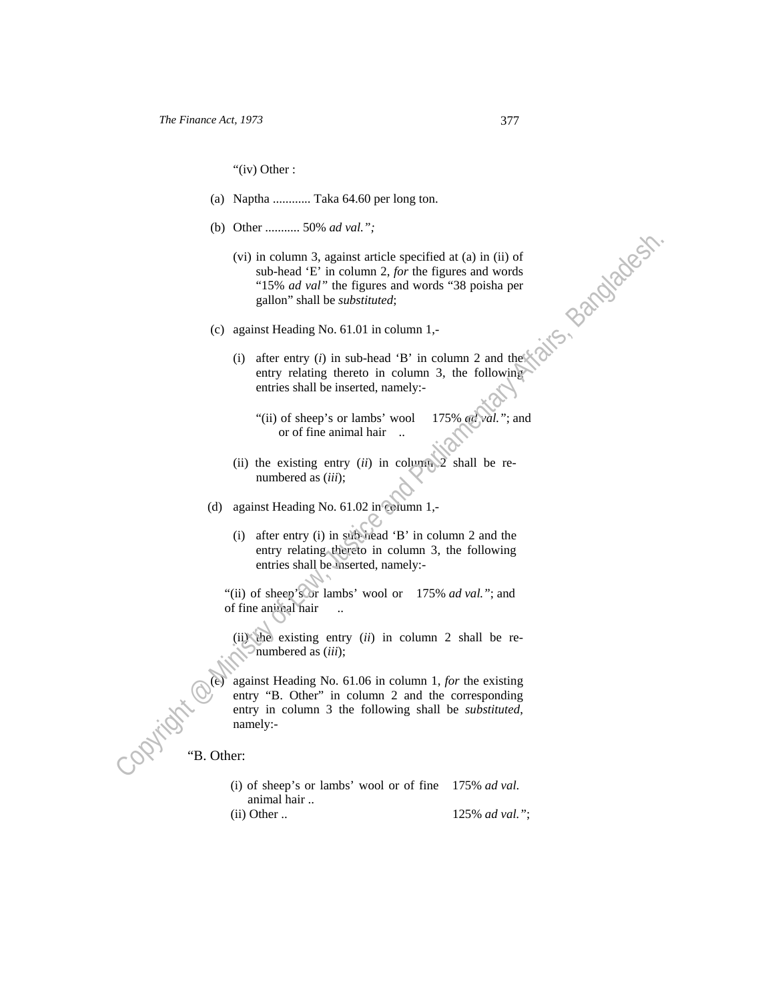"(iv) Other :

- (a) Naptha ............ Taka 64.60 per long ton.
- (b) Other ........... 50% *ad val.";*
- (vi) in column 3, against article specified at (a) in (ii) of sub-head 'E' in column 2, *for* the figures and words "15% *ad val"* the figures and words "38 poisha per gallon" shall be *substituted*; Copyright and the summation of the figures and words<br>
(vi) in column 3, against article specified at (a) in (ii) of<br>
sub-bead "E" in column 2, for the figures and words<br>
"In the figures and words"<br>
(c) against Heading No.
	- (c) against Heading No. 61.01 in column 1,-
		- (i) after entry  $(i)$  in sub-head 'B' in column 2 and the entry relating thereto in column 3, the following entries shall be inserted, namely:-
			- "(ii) of sheep's or lambs' wool or of fine animal hair .. 175% *ad val."*; and
		- (ii) the existing entry (*ii*) in column 2 shall be renumbered as (*iii*);
	- (d) against Heading No. 61.02 in column 1,-
		- (i) after entry (i) in sub-head 'B' in column 2 and the entry relating thereto in column 3, the following entries shall be inserted, namely:-

"(ii) of sheep's or lambs' wool or 175% *ad val."*; and of fine animal hair ...

(ii) the existing entry (*ii*) in column 2 shall be renumbered as (*iii*);

(e) against Heading No. 61.06 in column 1, *for* the existing entry "B. Other" in column 2 and the corresponding entry in column 3 the following shall be *substituted*, namely:-

# "B. Other:

- (i) of sheep's or lambs' wool or of fine 175% *ad val*. animal hair ..
- (ii) Other .. 125% *ad val."*;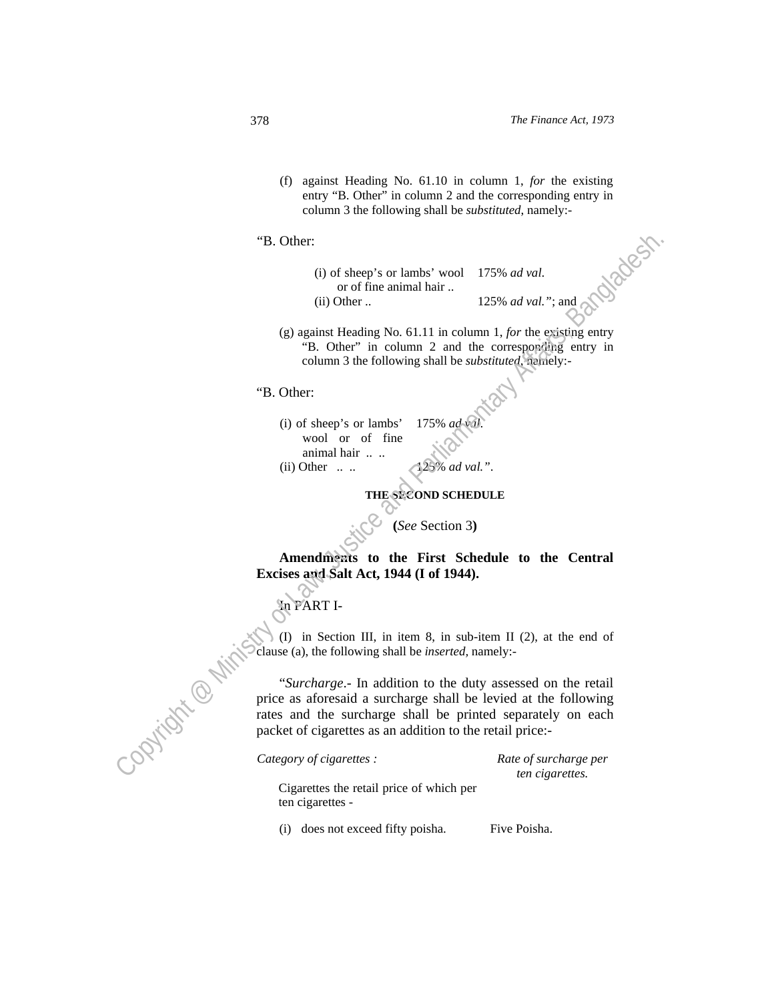(f) against Heading No. 61.10 in column 1, *for* the existing entry "B. Other" in column 2 and the corresponding entry in column 3 the following shall be *substituted*, namely:-

#### "B. Other:

- (i) of sheep's or lambs' wool or of fine animal hair .. 175% *ad val*.
- (ii) Other .. 125% *ad val."*; and
- (g) against Heading No. 61.11 in column 1, *for* the existing entry "B. Other" in column 2 and the corresponding entry in column 3 the following shall be *substituted*, namely:-

# "B. Other:

(i) of sheep's or lambs' wool or of fine animal hair .. .. 175% *ad val*. (ii) Other .. .. 125% *ad val."*.

## **THE SECOND SCHEDULE**

**(***See* Section 3**)** 

 **Amendments to the First Schedule to the Central Excises and Salt Act, 1944 (I of 1944).** 

# In PART I-

 (I) in Section III, in item 8, in sub-item II (2), at the end of clause (a), the following shall be *inserted,* namely:-

 "*Surcharge*.- In addition to the duty assessed on the retail price as aforesaid a surcharge shall be levied at the following rates and the surcharge shall be printed separately on each packet of cigarettes as an addition to the retail price:- "B. Other:<br>
(i) of sheep's or laminal bair..<br>
(ii) Other ...<br>
(iii) Other ...<br>
(iii) Other ...<br>
(iii) Alther ...<br>
(iii) Alther ...<br>
(iii) Alther ...<br>
"B. Other:<br>
"B. Other:<br>
"B. Other:<br>
(iii) of sheep's or lambs' 175% add

*Category of cigarettes :* Rate of surcharge per *ten cigarettes.* 

Cigarettes the retail price of which per ten cigarettes -

(i) does not exceed fifty poisha. Five Poisha.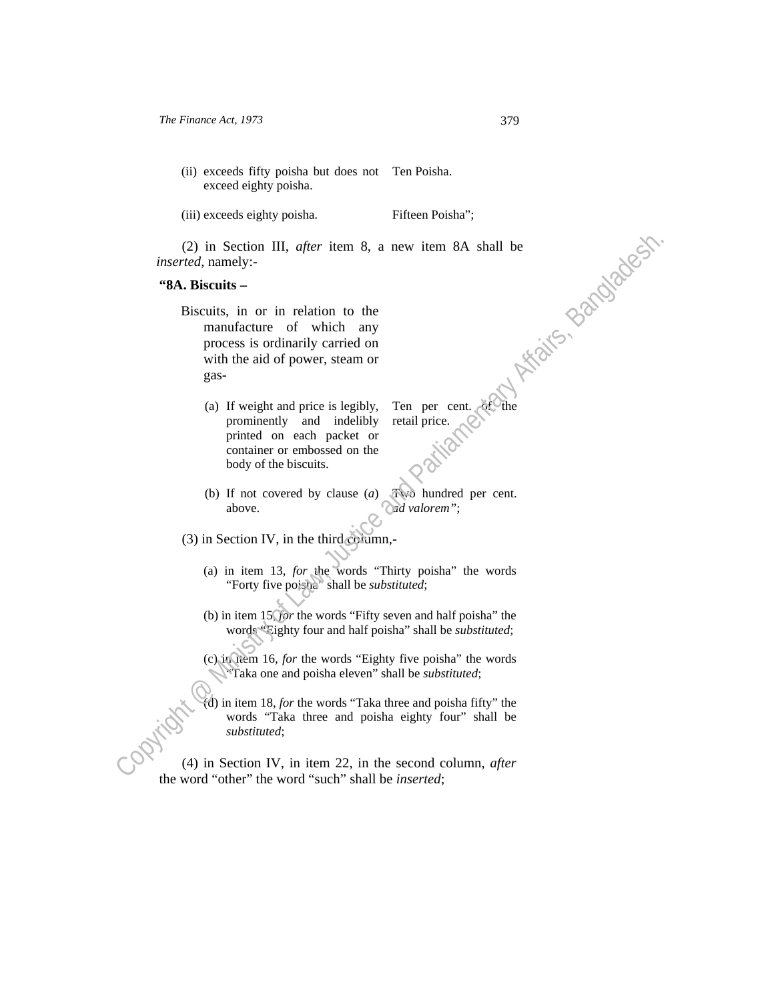- (ii) exceeds fifty poisha but does not Ten Poisha. exceed eighty poisha.
- (iii) exceeds eighty poisha. Fifteen Poisha";

Ten per cent. retail price.

*inserted*, namely:-

### **"8A. Biscuits –**

ì

١

- (2) in Section III, *after* item 8, a new item 8A shall be<br> *tred*, namely:-<br> **a. Biscuits** –<br> **Biscuits** –<br> **Biscuits** –<br> **Biscuits** –<br> **Biscuits** –<br> **Biscuits** –<br> **Biscuits** –<br> **Biscuits** –<br> **Biscuits** –<br> **Biscuits** –<br> Biscuits, in or in relation to the manufacture of which any process is ordinarily carried on with the aid of power, steam or gas- (2) in Section III, *after* item 8, a new item 8A shall be<br>
insecreted, namely:<br> **"SA. Biscuits.**<br> **"Biscuits.** in or in relation to the<br>
manufacture of which any<br>
process is ordinarily carriered on<br>
with the aid of power
	- (a) If weight and price is legibly, prominently and indelibly printed on each packet or container or embossed on the body of the biscuits.

(b) If not covered by clause (*a*) above. Two hundred per cent. *ad valorem"*;

(3) in Section IV, in the third column,-

- (a) in item 13, *for* the words "Thirty poisha" the words "Forty five poisha" shall be *substituted*;
- (b) in item 15, *for* the words "Fifty seven and half poisha" the words "Eighty four and half poisha" shall be *substituted*;
- (c) in item 16, *for* the words "Eighty five poisha" the words "Taka one and poisha eleven" shall be *substituted*;
- (d) in item 18, *for* the words "Taka three and poisha fifty" the words "Taka three and poisha eighty four" shall be *substituted*;

the word "other" the word "such" shall be *inserted*;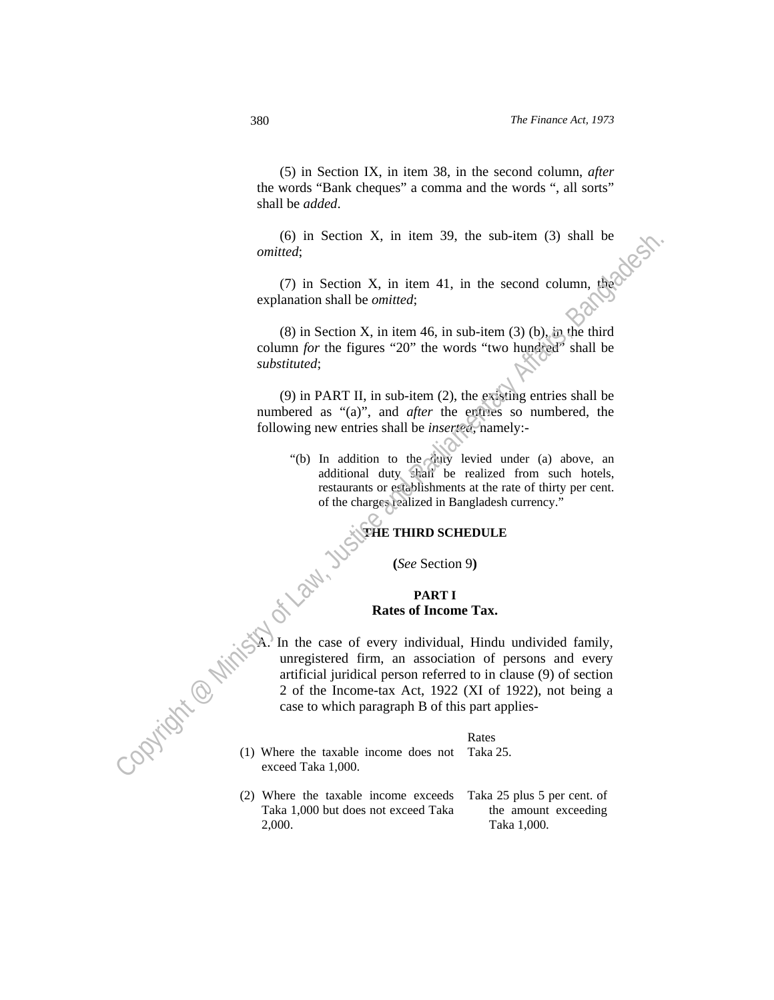(5) in Section IX, in item 38, in the second column, *after* the words "Bank cheques" a comma and the words ", all sorts" shall be *added*.

 (6) in Section X, in item 39, the sub-item (3) shall be *omitted*;

(7) in Section X, in item 41, in the second column, the explanation shall be *omitted*;

 (8) in Section X, in item 46, in sub-item (3) (b), in the third column *for* the figures "20" the words "two hundred" shall be *substituted*;

 (9) in PART II, in sub-item (2), the existing entries shall be numbered as "(a)", and *after* the entries so numbered, the following new entries shall be *inserted,* namely:-

 "(b) In addition to the duty levied under (a) above, an additional duty shall be realized from such hotels, restaurants or establishments at the rate of thirty per cent. of the charges realized in Bangladesh currency."

**THE THIRD SCHEDULE** 

**(***See* Section 9**)** 

## **PART I Rates of Income Tax.**

In the case of every individual, Hindu undivided family, unregistered firm, an association of persons and every artificial juridical person referred to in clause (9) of section 2 of the Income-tax Act, 1922 (XI of 1922), not being a case to which paragraph B of this part applies- Co) in Section X, in item 39, the sub-item (3) shall be<br>
conited;<br>
(7) in Section X, in item 41, in the second column, the<br>
explanation shall be *ornitred*;<br>
(8) in Section X, in item 46, in sub-item (3) (b), in the find<br>

| Rates |
|-------|
|       |

(1) Where the taxable income does not exceed Taka 1,000. Taka 25. **Policity of Philips** 

> (2) Where the taxable income exceeds Taka 1,000 but does not exceed Taka 2,000.

Taka 25 plus 5 per cent. of the amount exceeding Taka 1,000.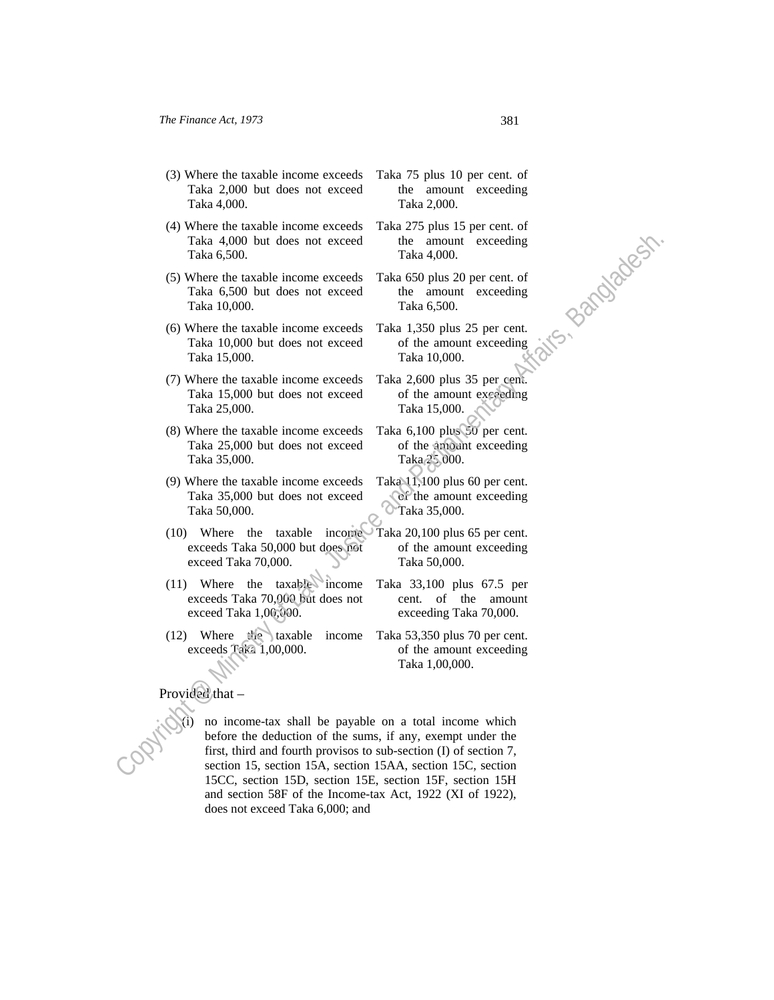- (3) Where the taxable income exceeds Taka 2,000 but does not exceed Taka 4,000.
- (4) Where the taxable income exceeds Taka 4,000 but does not exceed Taka 6,500.
- (5) Where the taxable income exceeds Taka 6,500 but does not exceed Taka 10,000.
- (6) Where the taxable income exceeds Taka 10,000 but does not exceed Taka 15,000.
- (7) Where the taxable income exceeds Taka 15,000 but does not exceed Taka 25,000.
- (8) Where the taxable income exceeds Taka 25,000 but does not exceed Taka 35,000.
- (9) Where the taxable income exceeds Taka 35,000 but does not exceed Taka 50,000.
- $(10)$  Where the taxable income exceeds Taka 50,000 but does not exceed Taka 70,000.
- $(11)$  Where the taxable income exceeds Taka 70,000 but does not exceed Taka 1,00,000.
- (12) Where the taxable income exceeds Taka 1,00,000.
- Taka 75 plus 10 per cent. of the amount exceeding Taka 2,000.
- Taka 275 plus 15 per cent. of the amount exceeding Taka 4,000.
- Taka 650 plus 20 per cent. of the amount exceeding Taka 6,500.
- Taka 1,350 plus 25 per cent. of the amount exceeding Taka 10,000.
- Taka 2,600 plus 35 per cent. of the amount exceeding Taka 15,000.
- Taka 6,100 plus 50 per cent. of the amount exceeding Taka 25,000.
- Taka 11,100 plus 60 per cent. of the amount exceeding Taka 35,000.
- Taka 20,100 plus 65 per cent. of the amount exceeding Taka 50,000.
- Taka 33,100 plus 67.5 per cent. of the amount exceeding Taka 70,000.
- Taka 53,350 plus 70 per cent. of the amount exceeding Taka 1,00,000.

# Provided that

no income-tax shall be payable on a total income which before the deduction of the sums, if any, exempt under the first, third and fourth provisos to sub-section (I) of section 7, section 15, section 15A, section 15AA, section 15C, section 15CC, section 15D, section 15E, section 15F, section 15H and section 58F of the Income-tax Act, 1922 (XI of 1922), does not exceed Taka 6,000; and Taka 4,000 but does not exceed<br>
Taka 4,000 but does not exceed the impount exceeding<br>
CS Where the takable income exceeds Taka 4500 pus 20 per cent of<br>
Taka 15,000 but does not exceed the amount exceeding<br>
Taka 15,000.<br>
(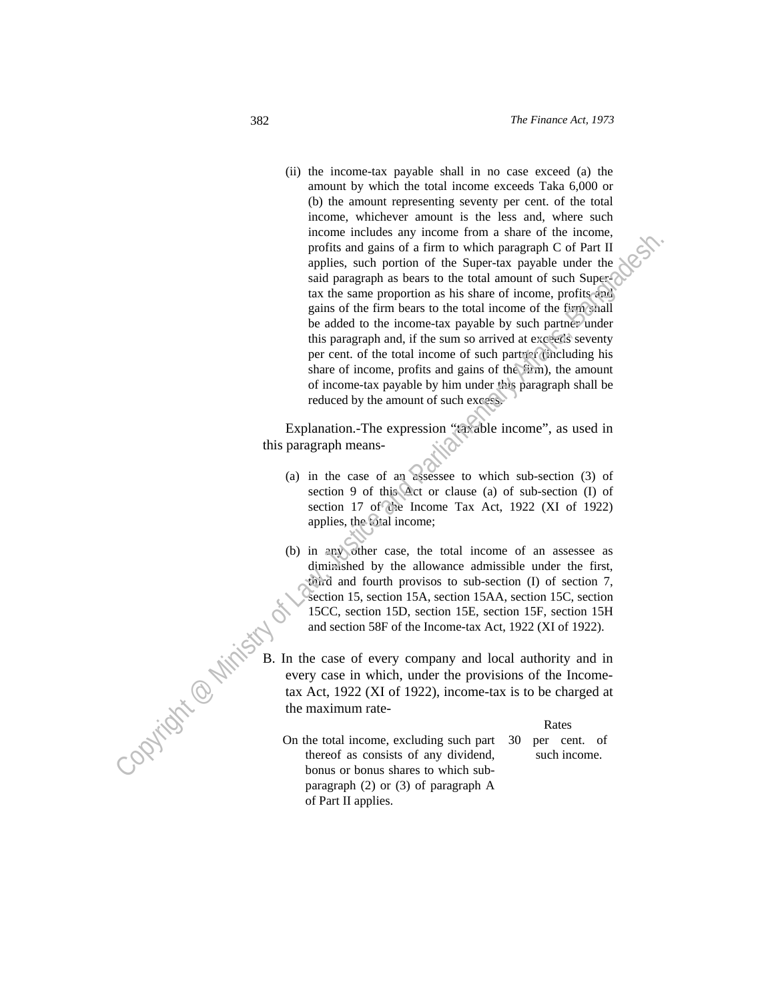(ii) the income-tax payable shall in no case exceed (a) the amount by which the total income exceeds Taka 6,000 or (b) the amount representing seventy per cent. of the total income, whichever amount is the less and, where such income includes any income from a share of the income, profits and gains of a firm to which paragraph C of Part II applies, such portion of the Super-tax payable under the said paragraph as bears to the total amount of such Supertax the same proportion as his share of income, profits and gains of the firm bears to the total income of the firm shall be added to the income-tax payable by such partner under this paragraph and, if the sum so arrived at exceeds seventy per cent. of the total income of such partner (including his share of income, profits and gains of the firm), the amount of income-tax payable by him under this paragraph shall be reduced by the amount of such excess. metric metricals as we note that income is a find to metric and the same proportion as the Super-tax payable under the  $\frac{1}{2}$  and particular such the same proportion as his share of income, proditing the same proportio

Explanation.-The expression "taxable income", as used in this paragraph means-

- (a) in the case of an assessee to which sub-section (3) of section 9 of this Act or clause (a) of sub-section (I) of section 17 of the Income Tax Act, 1922 (XI of 1922) applies, the total income;
- (b) in any other case, the total income of an assessee as diminished by the allowance admissible under the first, third and fourth provisos to sub-section (I) of section 7, section 15, section 15A, section 15AA, section 15C, section 15CC, section 15D, section 15E, section 15F, section 15H and section 58F of the Income-tax Act, 1922 (XI of 1922).
- B. In the case of every company and local authority and in every case in which, under the provisions of the Incometax Act, 1922 (XI of 1922), income-tax is to be charged at the maximum rate-

#### **Rates**

On the total income, excluding such part thereof as consists of any dividend, bonus or bonus shares to which subparagraph (2) or (3) of paragraph A of Part II applies. 30 per cent. of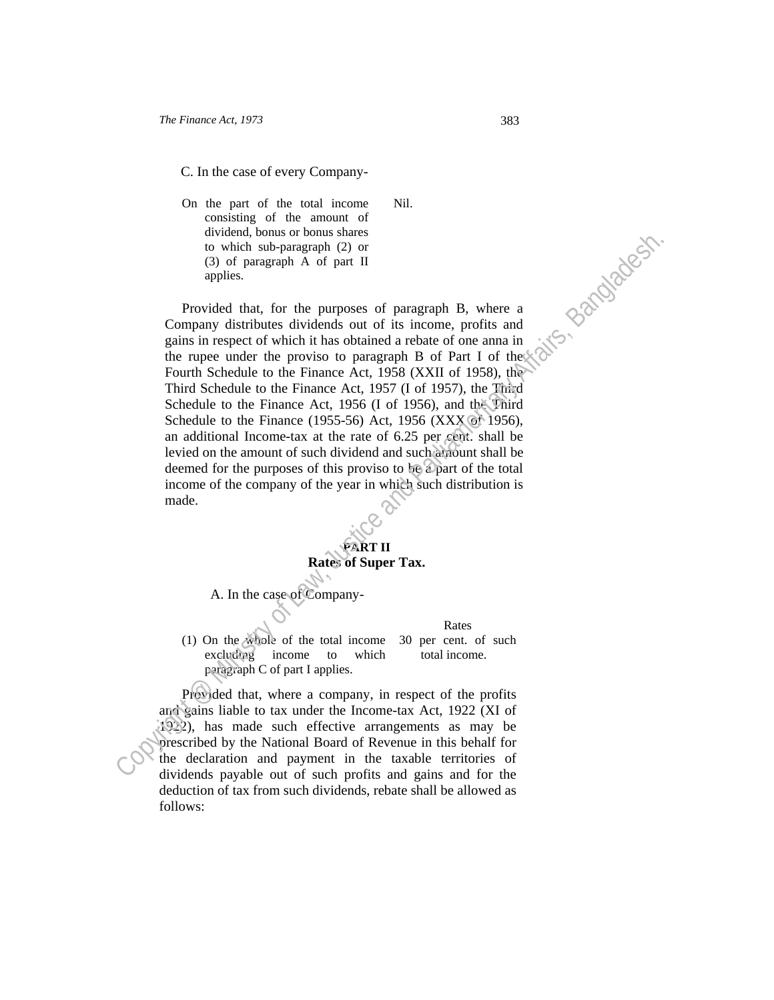C. In the case of every Company-

On the part of the total income consisting of the amount of dividend, bonus or bonus shares to which sub-paragraph (2) or (3) of paragraph A of part II applies.

 Provided that, for the purposes of paragraph B, where a Company distributes dividends out of its income, profits and gains in respect of which it has obtained a rebate of one anna in the rupee under the proviso to paragraph B of Part I of the Fourth Schedule to the Finance Act, 1958 (XXII of 1958), the Third Schedule to the Finance Act, 1957 (I of 1957), the Third Schedule to the Finance Act, 1956 (I of 1956), and the Third Schedule to the Finance (1955-56) Act, 1956 (XXX of 1956), an additional Income-tax at the rate of 6.25 per cent. shall be levied on the amount of such dividend and such amount shall be deemed for the purposes of this proviso to be a part of the total income of the company of the year in which such distribution is made. traction, hontest or Formus harms are the comparison of Affairs, and the parliamentary distributed dividends out of is income, potisis and the minister of the comparison of the state of the state of the state and Parliame

Nil.

# **PART II Rates of Super Tax.**

A. In the case of Company-

Rates (1) On the whole of the total income excluding income to which paragraph C of part I applies. 30 per cent. of such total income.

Provided that, where a company, in respect of the profits and gains liable to tax under the Income-tax Act, 1922 (XI of 1922), has made such effective arrangements as may be prescribed by the National Board of Revenue in this behalf for the declaration and payment in the taxable territories of dividends payable out of such profits and gains and for the deduction of tax from such dividends, rebate shall be allowed as follows: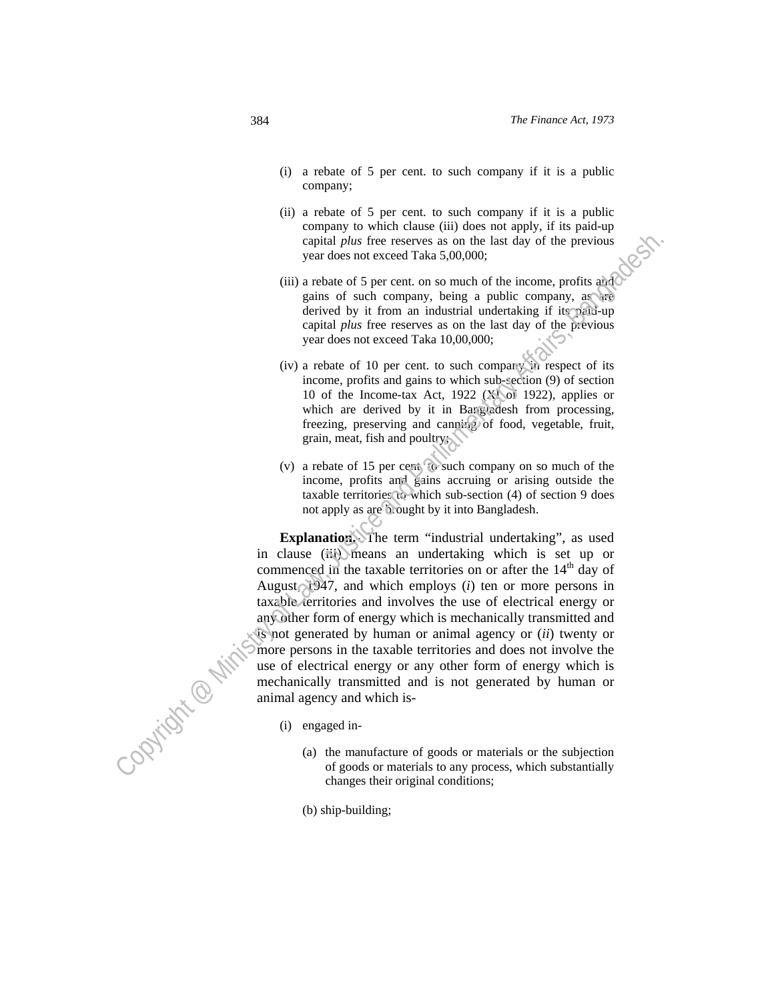- (i) a rebate of 5 per cent. to such company if it is a public company;
- (ii) a rebate of 5 per cent. to such company if it is a public company to which clause (iii) does not apply, if its paid-up capital *plus* free reserves as on the last day of the previous year does not exceed Taka 5,00,000;
- (iii) a rebate of 5 per cent. on so much of the income, profits and gains of such company, being a public company, as are derived by it from an industrial undertaking if its paid-up capital *plus* free reserves as on the last day of the previous year does not exceed Taka 10,00,000;
- (iv) a rebate of 10 per cent. to such company in respect of its income, profits and gains to which sub-section (9) of section 10 of the Income-tax Act, 1922 (XI of 1922), applies or which are derived by it in Bangladesh from processing, freezing, preserving and canning of food, vegetable, fruit, grain, meat, fish and poultry;
- (v) a rebate of 15 per cent. to such company on so much of the income, profits and gains accruing or arising outside the taxable territories to which sub-section (4) of section 9 does not apply as are brought by it into Bangladesh.

**Explanation.** The term "industrial undertaking", as used in clause (iii) means an undertaking which is set up or commenced in the taxable territories on or after the  $14<sup>th</sup>$  day of August, 1947, and which employs (*i*) ten or more persons in taxable territories and involves the use of electrical energy or any other form of energy which is mechanically transmitted and is not generated by human or animal agency or (*ii*) twenty or more persons in the taxable territories and does not involve the use of electrical energy or any other form of energy which is mechanically transmitted and is not generated by human or animal agency and which is copital plus these exerves as on the last dip of the previous<br>year does not exerved Taka 5.00,0000;<br>ii) a relaxe of 5 per cent. on so more hof the income, profits and<br>gains of such company, being a politic company, are ri

(i) engaged in-

l

- (a) the manufacture of goods or materials or the subjection of goods or materials to any process, which substantially changes their original conditions;
- (b) ship-building;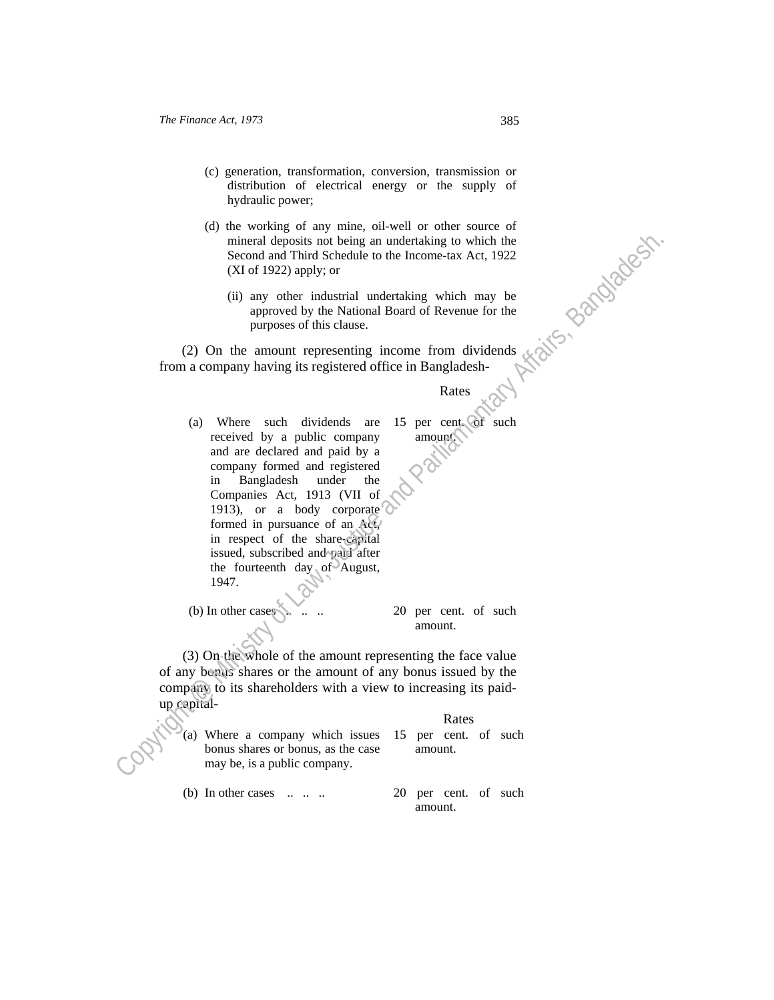- (c) generation, transformation, conversion, transmission or distribution of electrical energy or the supply of hydraulic power;
- (d) the working of any mine, oil-well or other source of mineral deposits not being an undertaking to which the Second and Third Schedule to the Income-tax Act, 1922 (XI of 1922) apply; or
	- (ii) any other industrial undertaking which may be approved by the National Board of Revenue for the purposes of this clause.

 (2) On the amount representing income from dividends from a company having its registered office in Bangladesh-

#### **Rates Rates**

(a) Where such dividends are received by a public company and are declared and paid by a company formed and registered in Bangladesh under the Companies Act, 1913 (VII of 1913), or a body corporate formed in pursuance of an Act, in respect of the share-capital issued, subscribed and paid after the fourteenth day of August, 1947. 15 per cent. of such amount. Cominent deposits are between the interesting which interests and Parliamentary of Law and Third Schedule to the Income-tax Act, 1922<br>
CM of 1922) apply, or<br>
(ii) any other industrial understain gwhich may be<br>
approved by

(b) In other cases  $\mathbb{R}$  ... ... 20 per cent. of such amount.

 (3) On the whole of the amount representing the face value of any bonus shares or the amount of any bonus issued by the company to its shareholders with a view to increasing its paidup capital-

## Rates

(a) Where a company which issues bonus shares or bonus, as the case may be, is a public company. 15 per cent. of such amount.

(b) In other cases  $\dots$   $\dots$   $\dots$  20 per cent. of such amount.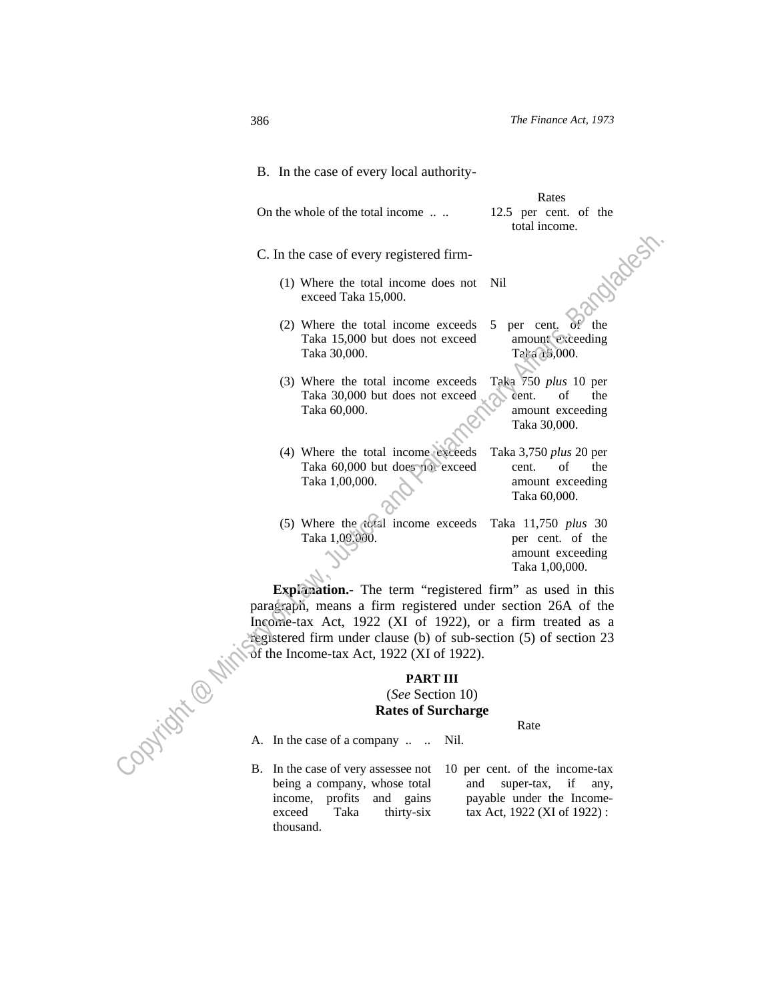|              | B. In the case of every local authority-                                                                                                                                                                                                                                                              |                                                                                       |
|--------------|-------------------------------------------------------------------------------------------------------------------------------------------------------------------------------------------------------------------------------------------------------------------------------------------------------|---------------------------------------------------------------------------------------|
|              | On the whole of the total income                                                                                                                                                                                                                                                                      | Rates<br>12.5 per cent. of the<br>total income.                                       |
|              | C. In the case of every registered firm-                                                                                                                                                                                                                                                              |                                                                                       |
|              | (1) Where the total income does not<br>exceed Taka 15,000.                                                                                                                                                                                                                                            | Oliadest<br>Nil                                                                       |
|              | (2) Where the total income exceeds<br>Taka 15,000 but does not exceed<br>Taka 30,000.                                                                                                                                                                                                                 | of the<br>per cent.<br>5<br>amount exceeding<br>Taka 15,000.                          |
|              | (3) Where the total income exceeds<br>Taka 30,000 but does not exceed<br>Taka 60,000.                                                                                                                                                                                                                 | Taka 750 <i>plus</i> 10 per<br>cent.<br>of<br>the<br>amount exceeding<br>Taka 30,000. |
|              | (4) Where the total income exceeds<br>Taka 60,000 but does not exceed<br>Taka 1,00,000.                                                                                                                                                                                                               | Taka 3,750 plus 20 per<br>of<br>the<br>cent.<br>amount exceeding<br>Taka 60,000.      |
|              | (5) Where the cotal income exceeds<br>Taka 1,09,000.                                                                                                                                                                                                                                                  | Taka 11,750 plus 30<br>per cent. of the<br>amount exceeding<br>Taka 1,00,000.         |
|              | Explanation. The term "registered firm" as used in this<br>paragraph, means a firm registered under section 26A of the<br>Income-tax Act, 1922 (XI of 1922), or a firm treated as a<br>registered firm under clause (b) of sub-section (5) of section 23<br>of the Income-tax Act, 1922 (XI of 1922). |                                                                                       |
| - optication | <b>PART III</b><br>(See Section 10)<br><b>Rates of Surcharge</b>                                                                                                                                                                                                                                      |                                                                                       |
|              | A. In the case of a company<br>Nil.                                                                                                                                                                                                                                                                   | Rate                                                                                  |
|              | B. In the case of very assessee not                                                                                                                                                                                                                                                                   | 10 per cent. of the income-tax                                                        |

#### **PART III**

# (*See* Section 10) **Rates of Surcharge**

- being a company, whose total income, profits and gains exceed Taka thirty-six thousand.
- 10 per cent. of the income-tax and super-tax, if any, payable under the Incometax Act, 1922 (XI of 1922) :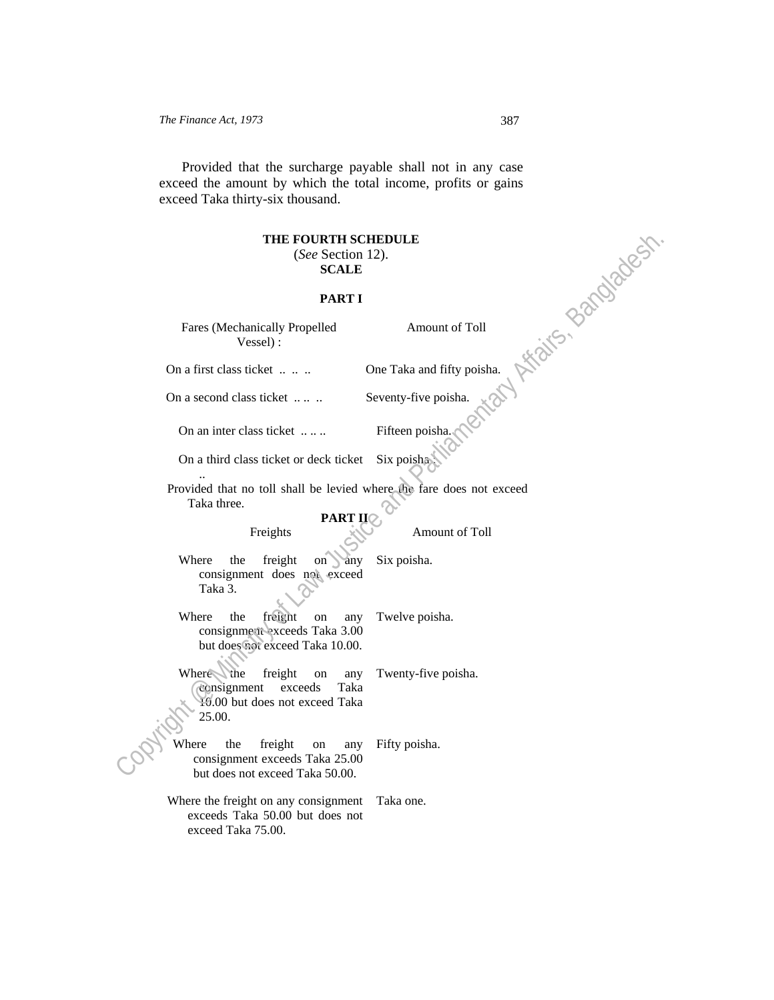Provided that the surcharge payable shall not in any case exceed the amount by which the total income, profits or gains exceed Taka thirty-six thousand.

#### **THE FOURTH SCHEDULE**

#### (*See* Section 12). **SCALE**

#### **PART I**

Fares (Mechanically Propelled Vessel) : ON A FIRE CONSIDER A FIRE CONSIDER A SANCE CONSIDER A FIRE CONSIDER A FIRE CONSIDER A FIRE CONSIDER A FIRE CONSIDER A FIRE CONSIDER A FIRE CONSIDER A FIRE CONSIDER A FIRE CONSIDER A FIRE CONSIDER A FIRE CONSIDER A FIRE CON

Amount of Toll

On a second class ticket .... .. Seventy-five poisha.

On an inter class ticket ..... Fifteen poisha.

On a third class ticket or deck ticket Six poisha

Provided that no toll shall be levied where the fare does not exceed Taka three. **PART II**C

..

#### Freights Amount of Toll

Where the freight on any consignment does not exceed Taka 3. Six poisha.

Where the freight on any consignment exceeds Taka 3.00 but does not exceed Taka 10.00. Twelve poisha.

Where the freight on any consignment exceeds Taka 10.00 but does not exceed Taka 25.00. Twenty-five poisha. Ĵ **THE FOURTH SCHEDULE<br>
SCALE**<br> **EART I**<br>
Fares (Mechanically Propelled<br> **PART I**<br>
Fares (Mechanically Propelled<br> **On a** first class ticket ......<br>
On a third class ticket .......<br>
Tilteen poisban,<br>
On a third class ticket

Where the freight on any consignment exceeds Taka 25.00 but does not exceed Taka 50.00. Fifty poisha.

Where the freight on any consignment Taka one. exceeds Taka 50.00 but does not exceed Taka 75.00.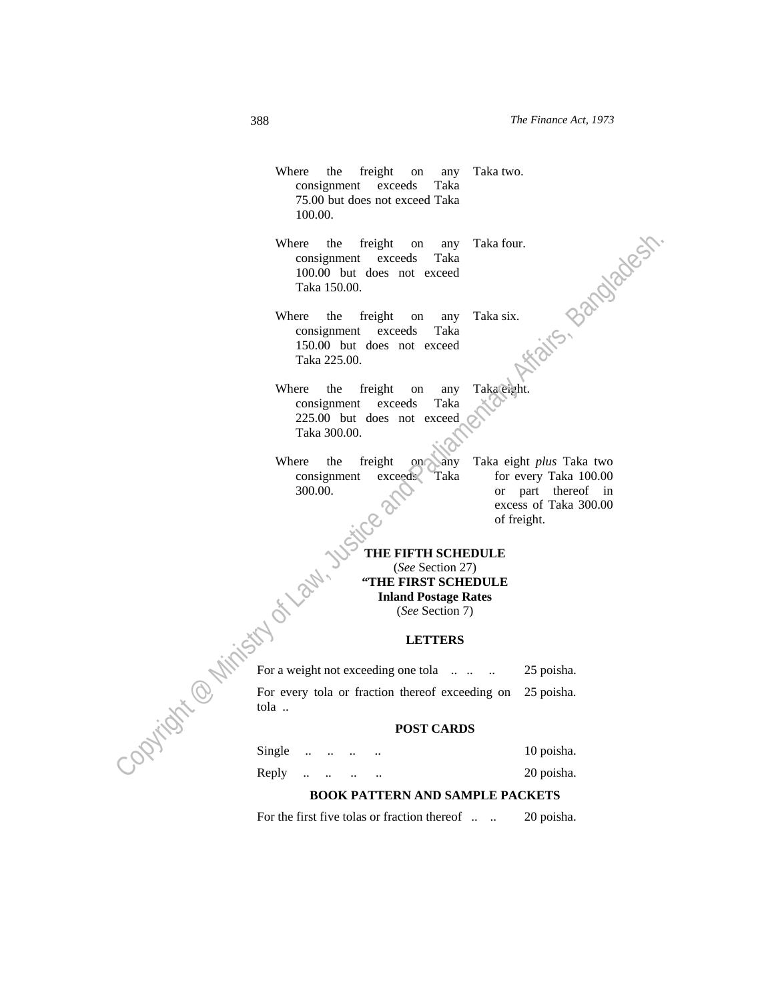Where the freight on consignment exceeds Taka 75.00 but does not exceed Taka 100.00. Taka two.

Where the freight on any consignment exceeds Taka 100.00 but does not exceed Taka 150.00. Taka four.<br>Taka six. 2210/2023 Where the freight on any Taka for the condition of the material of the total 190.00 but does not exceed<br>
Taka 190.00 but does not exceed<br>
Taka 225.00.<br>
Taka 225.00.<br>
Where the freight on any Takagegian.<br>
Consignment excee

Where the freight on any consignment exceeds Taka 150.00 but does not exceed Taka 225.00. Taka six.

Where the freight on any consignment exceeds Taka 225.00 but does not exceed Taka 300.00. Taka eight.

Where the freight on any consignment exceeds Taka 300.00.

tola ..

Taka eight *plus* Taka two for every Taka 100.00 or part thereof in excess of Taka 300.00 of freight.

**THE FIFTH SCHEDULE**  (*See* Section 27) **"THE FIRST SCHEDULE Inland Postage Rates**  (*See* Section 7)

#### **LETTERS**

For a weight not exceeding one tola ... .. 25 poisha. For every tola or fraction thereof exceeding on 25 poisha.

#### **POST CARDS**

| Single $\ldots$ $\ldots$         |  |  | 10 poisha. |
|----------------------------------|--|--|------------|
| Reply $\ldots$ $\ldots$ $\ldots$ |  |  | 20 poisha. |

## **BOOK PATTERN AND SAMPLE PACKETS**

For the first five tolas or fraction thereof ... . 20 poisha.